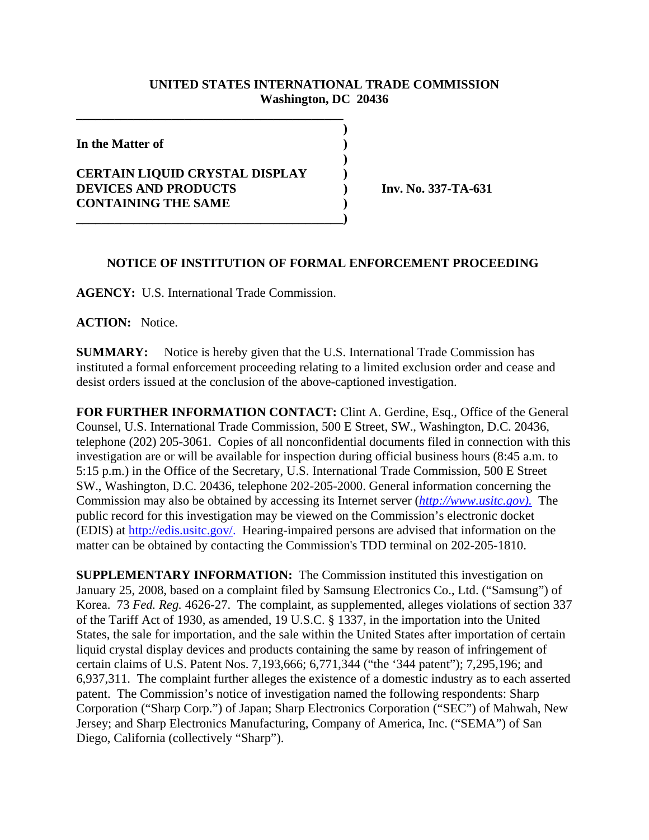## **UNITED STATES INTERNATIONAL TRADE COMMISSION Washington, DC 20436**

**)**

**)**

**In the Matter of )**

## **CERTAIN LIQUID CRYSTAL DISPLAY ) DEVICES AND PRODUCTS ) Inv. No. 337-TA-631 CONTAINING THE SAME )**

**\_\_\_\_\_\_\_\_\_\_\_\_\_\_\_\_\_\_\_\_\_\_\_\_\_\_\_\_\_\_\_\_\_\_\_\_\_\_\_\_\_\_**

## **NOTICE OF INSTITUTION OF FORMAL ENFORCEMENT PROCEEDING**

**AGENCY:** U.S. International Trade Commission.

**\_\_\_\_\_\_\_\_\_\_\_\_\_\_\_\_\_\_\_\_\_\_\_\_\_\_\_\_\_\_\_\_\_\_\_\_\_\_\_\_\_\_)**

**ACTION:** Notice.

**SUMMARY:** Notice is hereby given that the U.S. International Trade Commission has instituted a formal enforcement proceeding relating to a limited exclusion order and cease and desist orders issued at the conclusion of the above-captioned investigation.

**FOR FURTHER INFORMATION CONTACT:** Clint A. Gerdine, Esq., Office of the General Counsel, U.S. International Trade Commission, 500 E Street, SW., Washington, D.C. 20436, telephone (202) 205-3061. Copies of all nonconfidential documents filed in connection with this investigation are or will be available for inspection during official business hours (8:45 a.m. to 5:15 p.m.) in the Office of the Secretary, U.S. International Trade Commission, 500 E Street SW., Washington, D.C. 20436, telephone 202-205-2000. General information concerning the Commission may also be obtained by accessing its Internet server (*http://www.usitc.gov).* The public record for this investigation may be viewed on the Commission's electronic docket (EDIS) at http://edis.usitc.gov/. Hearing-impaired persons are advised that information on the matter can be obtained by contacting the Commission's TDD terminal on 202-205-1810.

**SUPPLEMENTARY INFORMATION:** The Commission instituted this investigation on January 25, 2008, based on a complaint filed by Samsung Electronics Co., Ltd. ("Samsung") of Korea. 73 *Fed. Reg.* 4626-27. The complaint, as supplemented, alleges violations of section 337 of the Tariff Act of 1930, as amended, 19 U.S.C. § 1337, in the importation into the United States, the sale for importation, and the sale within the United States after importation of certain liquid crystal display devices and products containing the same by reason of infringement of certain claims of U.S. Patent Nos. 7,193,666; 6,771,344 ("the '344 patent"); 7,295,196; and 6,937,311. The complaint further alleges the existence of a domestic industry as to each asserted patent. The Commission's notice of investigation named the following respondents: Sharp Corporation ("Sharp Corp.") of Japan; Sharp Electronics Corporation ("SEC") of Mahwah, New Jersey; and Sharp Electronics Manufacturing, Company of America, Inc. ("SEMA") of San Diego, California (collectively "Sharp").